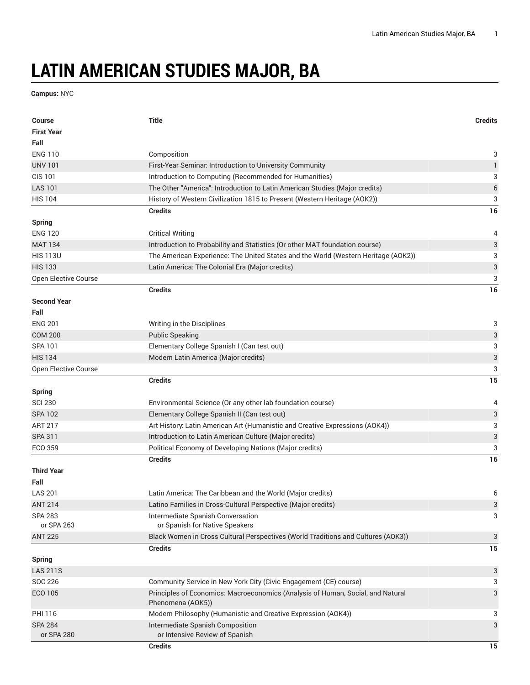## **LATIN AMERICAN STUDIES MAJOR, BA**

**Campus:** NYC

| <b>Course</b>                | <b>Title</b>                                                                                         | <b>Credits</b> |
|------------------------------|------------------------------------------------------------------------------------------------------|----------------|
| <b>First Year</b>            |                                                                                                      |                |
| Fall                         |                                                                                                      |                |
| <b>ENG 110</b>               | Composition                                                                                          | 3              |
| <b>UNV 101</b>               | First-Year Seminar. Introduction to University Community                                             | $\mathbf{1}$   |
| <b>CIS 101</b>               | Introduction to Computing (Recommended for Humanities)                                               | 3              |
| <b>LAS 101</b>               | The Other "America": Introduction to Latin American Studies (Major credits)                          | $\,$ 6 $\,$    |
| <b>HIS 104</b>               | History of Western Civilization 1815 to Present (Western Heritage (AOK2))                            | 3              |
|                              | <b>Credits</b>                                                                                       | 16             |
| <b>Spring</b>                |                                                                                                      |                |
| <b>ENG 120</b>               | <b>Critical Writing</b>                                                                              | 4              |
| <b>MAT 134</b>               | Introduction to Probability and Statistics (Or other MAT foundation course)                          | 3              |
| <b>HIS 113U</b>              | The American Experience: The United States and the World (Western Heritage (AOK2))                   | 3              |
| <b>HIS 133</b>               | Latin America: The Colonial Era (Major credits)                                                      | 3              |
| Open Elective Course         |                                                                                                      | 3              |
|                              | <b>Credits</b>                                                                                       | 16             |
| <b>Second Year</b>           |                                                                                                      |                |
| Fall                         |                                                                                                      |                |
| <b>ENG 201</b>               | Writing in the Disciplines                                                                           | 3              |
| <b>COM 200</b>               | <b>Public Speaking</b>                                                                               | 3              |
| SPA 101                      | Elementary College Spanish I (Can test out)                                                          | 3              |
| <b>HIS 134</b>               | Modern Latin America (Major credits)                                                                 | 3              |
| Open Elective Course         |                                                                                                      | 3              |
|                              | <b>Credits</b>                                                                                       | 15             |
| <b>Spring</b>                |                                                                                                      |                |
| <b>SCI 230</b>               | Environmental Science (Or any other lab foundation course)                                           | 4              |
| <b>SPA 102</b>               | Elementary College Spanish II (Can test out)                                                         | 3              |
| <b>ART 217</b>               | Art History: Latin American Art (Humanistic and Creative Expressions (AOK4))                         | 3              |
| SPA 311                      | Introduction to Latin American Culture (Major credits)                                               | 3              |
| ECO 359                      | Political Economy of Developing Nations (Major credits)                                              | 3              |
|                              | <b>Credits</b>                                                                                       | 16             |
| <b>Third Year</b>            |                                                                                                      |                |
| Fall                         |                                                                                                      |                |
| <b>LAS 201</b>               | Latin America: The Caribbean and the World (Major credits)                                           | 6              |
| <b>ANT 214</b>               | Latino Families in Cross-Cultural Perspective (Major credits)                                        | 3              |
| <b>SPA 283</b>               | Intermediate Spanish Conversation                                                                    | 3              |
| or SPA 263                   | or Spanish for Native Speakers                                                                       |                |
| <b>ANT 225</b>               | Black Women in Cross Cultural Perspectives (World Traditions and Cultures (AOK3))                    | 3              |
|                              | <b>Credits</b>                                                                                       | 15             |
| <b>Spring</b>                |                                                                                                      |                |
| <b>LAS 211S</b>              |                                                                                                      | 3              |
| SOC 226                      | Community Service in New York City (Civic Engagement (CE) course)                                    | 3              |
| ECO 105                      | Principles of Economics: Macroeconomics (Analysis of Human, Social, and Natural<br>Phenomena (AOK5)) | 3              |
| PHI 116                      | Modern Philosophy (Humanistic and Creative Expression (AOK4))                                        | 3              |
| <b>SPA 284</b><br>or SPA 280 | Intermediate Spanish Composition<br>or Intensive Review of Spanish                                   | 3              |
|                              | <b>Credits</b>                                                                                       | 15             |